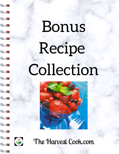# Bonus Recipe Collection





53

 $\leq$   $\geq$ 

 $\leq$ 

53

 $\leq$  2

 $\leq$  2

53

S

53

S

3

SB

3

53

 $\leq$   $\geq$ 

 $\leq$   $\geq$ 

S

52

The Harvest Cook.com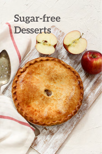# **Sugar-free Sugar-free Desserts Desserts**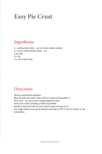# **Easy Pie Crust**

### Ingredients:

1 c. unbleached white our (or white whole wheat) 1 c. red or white whole wheat our 1 tsp. Salt ½ c. oil ½ c. very cold water

### Directions:

Sift dry ingredients together. Beat oil and cold water with a fork or whip until emulsifi d: Pour over our all at once, tossing lightly to mix. Form into a ball, handling as little as possible. Divide in half and roll out each half to make one pie crust. For single baked crust, prick bottom and bake at 375º F. for 10-12 min. or till just golden.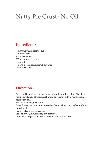# **Nutty Pie Crust~No Oil**

### Ingredients:

½ c. whole wheat pastry our ¼ c. rolled oats ½ c. raw cashews 3 Tbs. macaroon coconut ⅓ tsp. salt ½ c. or a bit less, coconut milk or water Pinch of Sucanat

### Directions:

Process all ingredients, except water, in blender until very fine. Pla e in a mixing bowl and add just enough water or coconut milk to make a manageable dough ball.

Roll out between plastic wrap.

Carefully remove wrap from top and with the help of bottom plastic, place into pie dish.

Remove plastic and trim edges.

Bake at 350ºF (180ºC) until lightly browned.

Double the recipe if you wish to use unbaked top crust also.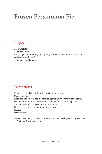# **Frozen Persimmon Pie**

### Ingredients:

3 c. **granola** (p.16) 3 Tbs. fruit juice 6 very ripe persimmons (The large Japanese varieties that ripen very soft and gooey work best.) 3 ripe, speckled bananas

### Directions:

Grind the granola in the blender or a food processor. Mix in the juice. Place it in the bottom of a pie plate and press down evenly with a spoon. Peel persimmons and place half of the pulp over the layer of granola. Cut bananas and arrange over the persimmons. Layer the rest of the persimmon pulp on top. Freeze. Serve frozen.

*TIP: Will slice best if taken out of freezer 5 or 6 minutes before slicing. Decorate each slice with a sprig of mint.*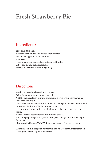# **Fresh Strawberry Pie**

### Ingredients:

1 pre-baked pie shell 6 cups of fresh,hulled and halved strawberries 6 oz. frozen apple juice concentrate ¼ cup water ¼ cup tapioca starch dissolved in ¼ cup cold water OR ⅓ cup instant tapioca granules 1 recipe of **Creamy Tofu Whip (p. 103)**

### Directions:

Wash the strawberries well and prepare.

Bring the apple juice and water to a boil.

Add the tapioca starch mixture or granules slowly while stirring with a whisk continuously.

Continue to stir with whisk until mixture boils again and becomes translucent (about 1 minute of boiling should do it).

If using granules, boil until granules have dissolved and thickened the liquid.

Add to the sliced strawberries and stir well to coat.

Pour into prepared pie crust, cover with plastic wrap, and chill overnight. Serve cold.

May top with **Creamy Tofu Whi**p or small scoop of vegan ice cream.

*Variation: Mix in 1-2 cups of raspberries and blueberries mixed together, in place of that amount of the strawberries.*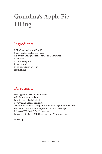# **Grandma's Apple Pie Filling**

### Ingredients:

1 Pie Crust recipe (p. 87 or 88) 6 cups apples, peeled and sliced ¾ c. frozen apple juice concentrate or ⅓ c. Sucanat *½* tsp. vanilla 1 Tbs. lemon juice *½* tsp. coriander 1 Tbs. cornstarch or our Pinch of salt

### Directions:

Heat apples in juice for 2-3 minutes. Add the rest of ingredients. Pour into unbaked pie shell. Cover with unbaked pie crust. Trim the edges with a sharp knife and press together with a fork. Pierce crust in the middle to permit the steam to escape. Bake at 400ºF (200ºC) for 10 minutes. Lower heat to 350ºF (180ºC) and bake for 45 minutes more.

Makes 1 pie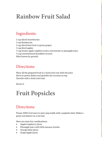# **Rainbow Fruit Salad**

### Ingredients:

1 cup sliced strawberries 1 cup blueberries 1 cup sliced kiwi fruit or green grapes 1 cup diced apples ¼ cup frozen apple-raspberry juice concentrate or pineapple juice. ¼ cup unsweetened shredded coconut Mint leaves for garnish

### Directions:

Place all the prepared fruit in a bowl and coat with the juice. Serve in pretty dishes and sprinkle the coconut on top. Garnish with a fresh mint leaf.

Serves 4

# **Fruit Popsicles**

### Directions:

Freeze 100% fruit juice in juice pop molds with a popsicle stick. Makes a great cool dessert on a hot day.

Here are some fun combinations:

- Apple/raspberry juices
- Pineapple juice with little banana chunks
- Orange/lime juices
- Grape/apple juices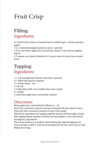# **Fruit Crisp**

### **Filling:** Ingredients:

6 c. sliced fresh, frozen or canned fruit (no added sugar) – berries, peaches, apples

1 ½ c. crushed pineapple (canned in juice) – optional

1 12-oz can frozen apple juice concentrate, (minus ¼ cup used in topping below)

2 T. organic corn starch dissolved in ¼ cup of water (or juice from canned fruit)

## **Topping:** Ingredients:

⅓ c. nut meal (ground walnuts, almonds, or pecans) 2 c. rolled oats (quick or regular) ½ c. whole wheat our ½ tsp. salt 1 T. light olive oil (fl vor is milder than extra virgin) 1 t. vanilla ¼ cup frozen apple juice concentrate, thawed

### Directions:

Bring apple juice concentrate for filling to a oil. Stir in the cornstarch mixture, stirring constantly till clear (about 1 min.). Toss fruit with cornstarch mixture to coat it. Set it aside. Mix all dry ingredients for topping together and stir till thoroughly mixed. Mix topping liquids together and then stir thoroughly or mix with hands

through dry ingredients.

Place fruit mixture in a medium-sized baking dish. Spread topping over fruit and bake at 350º F. until browned (about 40-50 min.). Serve hot or cold. Makes 8 servings.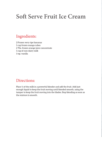# **Soft Serve Fruit Ice Cream**

### Ingredients:

2 Frozen very ripe bananas 1 cup frozen mango cubes 2 Tbs. frozen orange juice concentrate 1 cup of non-dairy milk 1 tsp. vanilla

### Directions:

Place ½ of the milk in a powerful blender and add the fruit. Add just enough liquid to keep the fruit moving until blended smooth, using the tamper to keep the fruit moving into the blades. Stop blending as soon as the mixture is smooth.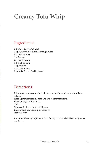# **Creamy Tofu Whip**

### Ingredients:

1. c. water or coconut milk 2 tsp. agar powder (not fla es or granules) ½ c. raw cashews ¼ c. honey ¼ c. maple syrup 1 ½ c. silken tofu 2 tsp. vanilla ¼ tsp. salt or less 1 tsp. mild fl vored oil (optional)

### Directions:

Bring water and agar to a boil stirring constantly over low heat until dissolved. Place agar mixture in blender and add other ingredients. Blend on high until smooth. Chill. Whip with electric beater till foamy. Chill and use as a topping for desserts. Makes 4 cups

*Variation: This may be frozen in ice cube trays and blended when ready to use as a freeze.*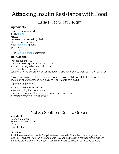# Attacking Insulin Resistance with Food

### Lucia's Oat Groat Delight

### **Ingredients**

1 cup [oat groats](https://amzn.to/3nqLku1%22%20%5Ct%20%22_blank) rinsed 2 Tbs. [raisins](https://amzn.to/33kCDII%22%20%5Ct%20%22_blank) 2 [dates](https://amzn.to/3nTC4PC%22%20%5Ct%20%22_blank) 1 whole apple coarsely grated 1 tsp. [Ceylon cinnamon](https://amzn.to/30S2CmZ%22%20%5Ct%20%22_blank) ½ tsp. [coriander](https://amzn.to/3b7CsVh%22%20%5Ct%20%22_blank) ground 4 cups water ¼ tsp. [salt](https://amzn.to/33sRRJs%22%20%5Ct%20%22_blank) 1 Tbs. [vanilla extract](https://amzn.to/3nS6Ece%22%20%5Ct%20%22_blank) (not imitation)

### **Instructions**

Preheat oven to 350°F. Place rinsed oat groats in casserole dish. Add all other ingredients and stir to mix.

Cover tightly with lid or tin foil.

Bake for 2 hours, covered. Most of the liquid will be absorbed by then, but it should not be dry.

Serve warm. May be refrigerated and rewarmed to eat. Chilling will thicken it, so you may need a bit of unsweetened non-dairy milk or water to thin it a bit.

#### **Topping Suggestions**

Fresh or raw berries of any kind. A few raw or lightly toasted nuts. Some freshly ground flax, chia, or sesame seeds (or a mix). A few sunflower or pumpkin seeds.

# Not So Southern Collard Greens

#### **Ingredients:**

1 bunch of collard 2 cloves of garlic, crushed 1 Tbs. oil Sprinkle of salt

#### **Directions:**

Wash the greens thoroughly. Chop the leaves coarsely. Place the oil in a large pan on medium high heat. Add the crushed garlic. As soon as the garlic starts to sizzle, add the chopped greens and stir vigorously. Add small amounts of water as needed to avoid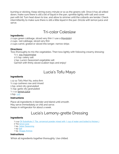burning or sticking. Keep stirring every minute or so as the greens wilt. Once it has all wilted down, make sure there is still a bit of liquid in the pan, sprinkle lightly with salt and cover pan with lid. Turn heat down to low, and allow to simmer until the collards are tender. Check intermittently to make sure there is still a little liquid in the pan. Drizzle with lemon juice and serve.

## Tri-color Coleslaw

#### **Ingredients:**

2 cups green cabbage, sliced very thin (I use a [Mandolin\)](http://http:/www.amazon.com/Oneida-Polished-Mandolin-Interchangable-Slicer/dp/B0009HHZ20%22%20%5Ct%20%22_blank%22%20%5Co%20%22Oneida%20Mandolin) 2 cups red cabbage, sliced very thin 2 cups carrot, grated or sliced into longer, narrow strips

#### **Directions:**

Toss thoroughly to mix the vegetables. Then toss lightly with following creamy dressing:

 $\frac{1}{2}$  c. [soy mayonnaise](http://3dhealthforlife.wordpress.com/2012/04/18/yummy-homemade-mayosour-cream/)

1/2 tsp. celery salt

1 tsp. Lucia's Seasoned vegetable salt

Garnish with thinly sliced scallion tops and enjoy!

## Lucia's Tofu Mayo

#### **Ingredients**

1 12 oz Tofu Mori Nu, extra firm  $\frac{1}{2}$  cup cashews raw and rinsed 1 tsp. onion dry granulated  $\frac{1}{2}$  tsp. garlic dry granulated  $\frac{1}{4}$  cup [lemon juice](https://amzn.to/2McWVw0%22%20%5Ct%20%22_blank) 1 tsp. [salt](https://amzn.to/33sRRJs%22%20%5Ct%20%22_blank)

#### **Instructions**

Place all ingredients in blender and blend until smooth. May serve immediately or chill and serve. Keeps in refrigerator for about a week.

# Lucia's Lemony-grette Dressing

#### **Ingredients**

⅓ cup [Oil Substitute](https://theharvestcook.com/lucias-oil-substitute-for-dressings/%22%20%5Ct%20%22_blank) (1 Tbs. arrowroot powder mixed with 1 cup of water and boiled to thicken.)

- 2 Tbs [lemon juice](https://amzn.to/2McWVw0%22%20%5Ct%20%22_blank)
- 1 tsp. [Italian Seasoning](https://amzn.to/2MG5u15%22%20%5Ct%20%22_blank)
- 1 tsp [Salt](https://amzn.to/33sRRJs%22%20%5Ct%20%22_blank)

1 tsp. [Braggs Aminos](https://amzn.to/3xdX7QN%22%20%5Ct%20%22_blank)

#### **Instructions**

Whisk all ingredients together thoroughly. Use chilled.